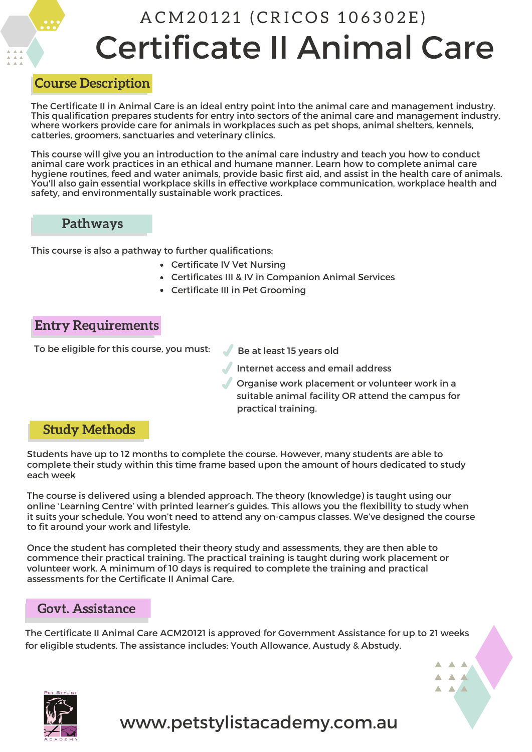# Certificate II Animal Care A C M 20121 (CRICOS 106302E)

#### **Course Description**

The Certificate II in Animal Care is an ideal entry point into the animal care and management industry. This qualification prepares students for entry into sectors of the animal care and management industry, where workers provide care for animals in workplaces such as pet shops, animal shelters, kennels, catteries, groomers, sanctuaries and veterinary clinics.

This course will give you an introduction to the animal care industry and teach you how to conduct animal care work practices in an ethical and humane manner. Learn how to complete animal care hygiene routines, feed and water animals, provide basic first aid, and assist in the health care of animals. You'll also gain essential workplace skills in effective workplace communication, workplace health and safety, and environmentally sustainable work practices.

#### **Pathways**

This course is also a pathway to further qualifications:

- Certificate IV Vet Nursing
- Certificates III & IV in Companion Animal Services
- Certificate III in Pet Grooming

## **Entry Requirements**

To be eligible for this course, you must:

Be at least 15 years old

- Internet access and email address
	- Organise work placement or volunteer work in a suitable animal facility OR attend the campus for practical training.

 $\blacktriangle$   $\blacktriangle$   $\blacktriangle$  $\begin{array}{c} \mathbf{A} & \mathbf{A} & \mathbf{A} \end{array}$  $\blacktriangle$   $\blacktriangle$   $\blacktriangle$ 

## **Study Methods**

Students have up to 12 months to complete the course. However, many students are able to complete their study within this time frame based upon the amount of hours dedicated to study each week

The course is delivered using a blended approach. The theory (knowledge) is taught using our online 'Learning Centre' with printed learner's guides. This allows you the flexibility to study when it suits your schedule. You won't need to attend any on-campus classes. We've designed the course to fit around your work and lifestyle.

Once the student has completed their theory study and assessments, they are then able to commence their practical training. The practical training is taught during work placement or volunteer work. A minimum of 10 days is required to complete the training and practical assessments for the Certificate II Animal Care.

### **Govt. Assistance**

The Certificate II Animal Care ACM20121 is approved for Government Assistance for up to 21 weeks for eligible students. The assistance includes: Youth Allowance, Austudy & Abstudy.

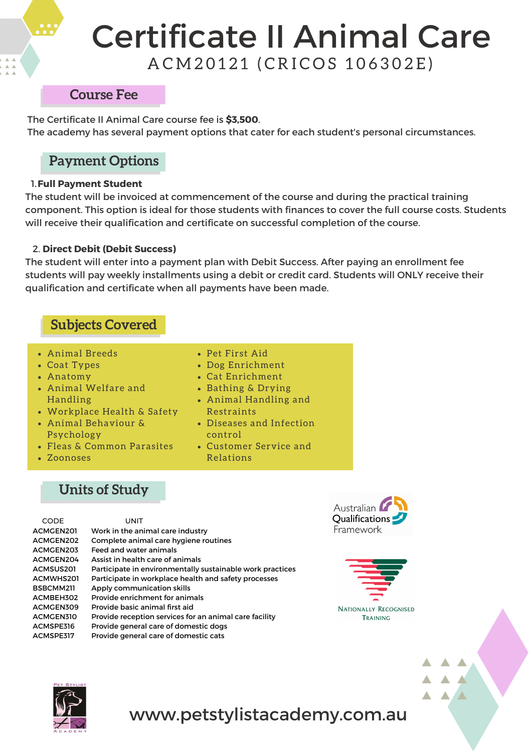# Certificate II Animal Care A C M 20121 (CRICOS 106302E)

#### **Course Fee**

The Certificate II Animal Care course fee is **\$3,500**. The academy has several payment options that cater for each student's personal circumstances.

# **Payment Options**

#### 1.**Full Payment Student**

The student will be invoiced at commencement of the course and during the practical training component. This option is ideal for those students with finances to cover the full course costs. Students will receive their qualification and certificate on successful completion of the course.

#### 2. **Direct Debit (Debit Success)**

The student will enter into a payment plan with Debit Success. After paying an enrollment fee students will pay weekly installments using a debit or credit card. Students will ONLY receive their qualification and certificate when all payments have been made.

# **Subjects Covered**

- Animal Breeds
- Coat Types
- Anatomy
- Animal Welfare and Handling
- Workplace Health & Safety
- Animal Behaviour & Psychology
- Fleas & Common Parasites
- Zoonoses
- Pet First Aid
- Dog Enrichment
- Cat Enrichment
- Bathing & Drying
- Animal Handling and Restraints
- Diseases and Infection control
- Customer Service and Relations

# **Units of Study**

| <b>CODE</b>      | UNIT                                                      |
|------------------|-----------------------------------------------------------|
| <b>ACMGEN201</b> | Work in the animal care industry                          |
| <b>ACMGEN202</b> | Complete animal care hygiene routines                     |
| ACMGEN203        | Feed and water animals                                    |
| <b>ACMGEN204</b> | Assist in health care of animals                          |
| <b>ACMSUS201</b> | Participate in environmentally sustainable work practices |
| <b>ACMWHS201</b> | Participate in workplace health and safety processes      |
| BSBCMM211        | Apply communication skills                                |
| ACMBEH302        | Provide enrichment for animals                            |
| <b>ACMGEN309</b> | Provide basic animal first aid                            |
| <b>ACMGEN310</b> | Provide reception services for an animal care facility    |
| ACMSPE316        | Provide general care of domestic dogs                     |
| ACMSPE317        | Provide general care of domestic cats                     |





 $\blacktriangle$   $\blacktriangle$   $\blacktriangle$ 

 $\blacktriangle$   $\blacktriangle$  $\blacktriangle$   $\blacktriangle$ 



# www.petstylistacademy.com.au